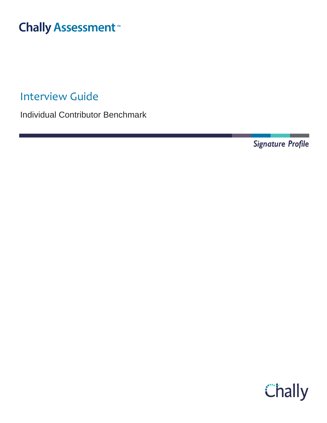# **Chally Assessment**

Interview Guide

Individual Contributor Benchmark

Signature Profile

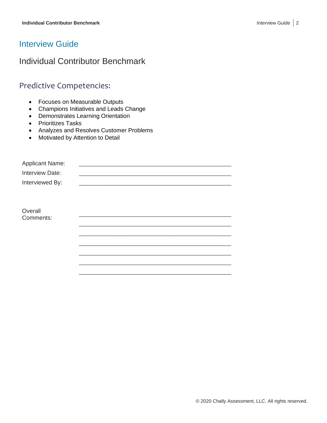# Interview Guide

# Individual Contributor Benchmark

# Predictive Competencies:

- Focuses on Measurable Outputs
- Champions Initiatives and Leads Change
- Demonstrates Learning Orientation
- Prioritizes Tasks
- Analyzes and Resolves Customer Problems
- Motivated by Attention to Detail

| <b>Applicant Name:</b> |  |
|------------------------|--|
| Interview Date:        |  |
| Interviewed By:        |  |
|                        |  |
|                        |  |
| Overall                |  |
| Comments:              |  |
|                        |  |
|                        |  |
|                        |  |
|                        |  |
|                        |  |
|                        |  |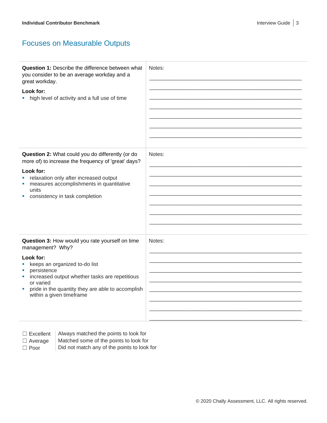# Focuses on Measurable Outputs

| <b>Question 1: Describe the difference between what</b><br>you consider to be an average workday and a<br>great workday.<br>Look for:<br>high level of activity and a full use of time                                                                                                | Notes: |
|---------------------------------------------------------------------------------------------------------------------------------------------------------------------------------------------------------------------------------------------------------------------------------------|--------|
| Question 2: What could you do differently (or do<br>more of) to increase the frequency of 'great' days?<br>Look for:<br>relaxation only after increased output<br>ш<br>measures accomplishments in quantitative<br>ш<br>units<br>consistency in task completion<br>ш                  | Notes: |
| Question 3: How would you rate yourself on time<br>management? Why?<br>Look for:<br>keeps an organized to-do list<br>persistence<br>increased output whether tasks are repetitious<br>or varied<br>pride in the quantity they are able to accomplish<br>ш<br>within a given timeframe | Notes: |

 $\Box$  Excellent  $\parallel$  Always matched the points to look for

 $\Box$  Average  $\parallel$  Matched some of the points to look for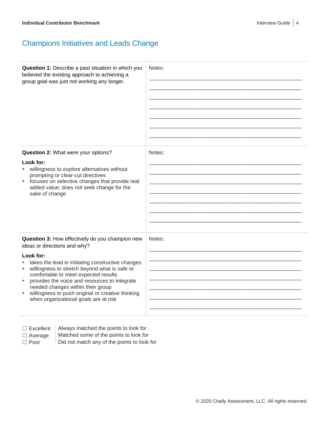# Champions Initiatives and Leads Change

| Question 1: Describe a past situation in which you<br>believed the existing approach to achieving a<br>group goal was just not working any longer. | Notes: |
|----------------------------------------------------------------------------------------------------------------------------------------------------|--------|
| Question 2: What were your options?                                                                                                                | Notes: |
|                                                                                                                                                    |        |
| Look for:                                                                                                                                          |        |
| willingness to explore alternatives without                                                                                                        |        |
| prompting or clear-cut directives<br>focuses on selective changes that provide real<br>$\mathcal{L}_{\mathcal{A}}$                                 |        |
| added value; does not seek change for the                                                                                                          |        |
| sake of change                                                                                                                                     |        |
|                                                                                                                                                    |        |
|                                                                                                                                                    |        |
|                                                                                                                                                    |        |
|                                                                                                                                                    |        |
|                                                                                                                                                    |        |
| Question 3: How effectively do you champion new<br>ideas or directions and why?                                                                    | Notes: |
| Look for:                                                                                                                                          |        |
| takes the lead in initiating constructive changes                                                                                                  |        |
| willingness to stretch beyond what is safe or                                                                                                      |        |
| comfortable to meet expected results                                                                                                               |        |
| provides the voice and resources to integrate<br>ш                                                                                                 |        |
| needed changes within their group<br>willingness to push original or creative thinking                                                             |        |
| when organizational goals are at risk                                                                                                              |        |
|                                                                                                                                                    |        |
|                                                                                                                                                    |        |
|                                                                                                                                                    |        |

 $\Box$  Excellent  $\parallel$  Always matched the points to look for

 $\Box$  Average  $\parallel$  Matched some of the points to look for

 $\Box$  Poor  $\Box$  Did not match any of the points to look for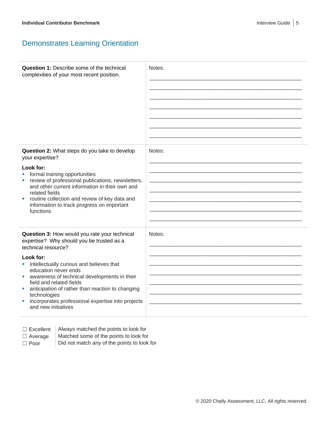### Demonstrates Learning Orientation

| <b>Question 1: Describe some of the technical</b><br>complexities of your most recent position.                                                                                                                                                                                                                                                                                                                                                    | Notes: |
|----------------------------------------------------------------------------------------------------------------------------------------------------------------------------------------------------------------------------------------------------------------------------------------------------------------------------------------------------------------------------------------------------------------------------------------------------|--------|
| Question 2: What steps do you take to develop<br>your expertise?<br>Look for:<br>formal training opportunities<br>review of professional publications, newsletters,<br>and other current information in their own and<br>related fields<br>routine collection and review of key data and<br>information to track progress on important<br>functions                                                                                                | Notes: |
| Question 3: How would you rate your technical<br>expertise? Why should you be trusted as a<br>technical resource?<br>Look for:<br>intellectually curious and believes that<br>×<br>education never ends<br>awareness of technical developments in their<br>ш<br>field and related fields<br>anticipation of rather than reaction to changing<br>ш<br>technologies<br>incorporates professional expertise into projects<br>ш<br>and new initiatives | Notes: |

Always matched the points to look for

- $\Box$  Average  $\parallel$  Matched some of the points to look for
- 
- $\Box$  Poor  $\Box$  Did not match any of the points to look for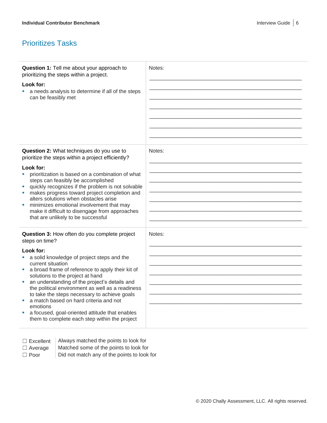# Prioritizes Tasks

| Question 1: Tell me about your approach to<br>Notes:<br>prioritizing the steps within a project.<br>Look for:<br>a needs analysis to determine if all of the steps                                                                                                                                                                                                                                                                                                                                                                                                         |  |
|----------------------------------------------------------------------------------------------------------------------------------------------------------------------------------------------------------------------------------------------------------------------------------------------------------------------------------------------------------------------------------------------------------------------------------------------------------------------------------------------------------------------------------------------------------------------------|--|
| can be feasibly met                                                                                                                                                                                                                                                                                                                                                                                                                                                                                                                                                        |  |
| Question 2: What techniques do you use to<br>Notes:<br>prioritize the steps within a project efficiently?<br>Look for:<br>prioritization is based on a combination of what<br>steps can feasibly be accomplished<br>quickly recognizes if the problem is not solvable<br>makes progress toward project completion and<br>alters solutions when obstacles arise<br>minimizes emotional involvement that may<br>make it difficult to disengage from approaches<br>that are unlikely to be successful                                                                         |  |
| Question 3: How often do you complete project<br>Notes:<br>steps on time?<br>Look for:<br>a solid knowledge of project steps and the<br>current situation<br>a broad frame of reference to apply their kit of<br>solutions to the project at hand<br>an understanding of the project's details and<br>×.<br>the political environment as well as a readiness<br>to take the steps necessary to achieve goals<br>a match based on hard criteria and not<br>emotions<br>a focused, goal-oriented attitude that enables<br>ш<br>them to complete each step within the project |  |

☐ Excellent Always matched the points to look for  $\Box$  Average  $\parallel$  Matched some of the points to look for  $\Box$  Poor  $\Box$  Did not match any of the points to look for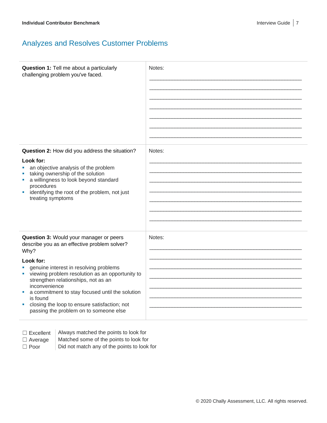# Analyzes and Resolves Customer Problems

| Question 1: Tell me about a particularly<br>challenging problem you've faced.                                                                                                                                                                                                                                                                                                                                                               | Notes: |
|---------------------------------------------------------------------------------------------------------------------------------------------------------------------------------------------------------------------------------------------------------------------------------------------------------------------------------------------------------------------------------------------------------------------------------------------|--------|
| Question 2: How did you address the situation?<br>Look for:<br>an objective analysis of the problem<br>taking ownership of the solution<br>a willingness to look beyond standard<br>ш<br>procedures<br>identifying the root of the problem, not just<br>ш<br>treating symptoms                                                                                                                                                              | Notes: |
| Question 3: Would your manager or peers<br>describe you as an effective problem solver?<br>Why?<br>Look for:<br>genuine interest in resolving problems<br>viewing problem resolution as an opportunity to<br>a,<br>strengthen relationships, not as an<br>inconvenience<br>a commitment to stay focused until the solution<br>a.<br>is found<br>closing the loop to ensure satisfaction; not<br>ш<br>passing the problem on to someone else | Notes: |

Always matched the points to look for  $\Box$  Average  $\parallel$  Matched some of the points to look for  $\Box$  Poor  $\Box$  Did not match any of the points to look for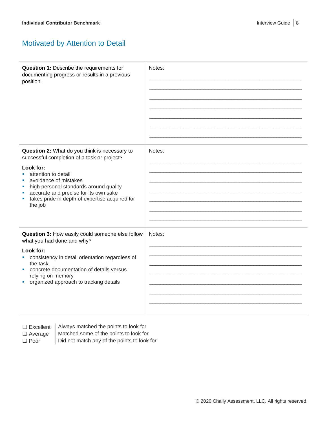# Motivated by Attention to Detail

| Question 1: Describe the requirements for<br>documenting progress or results in a previous<br>position.                                                                                                                                                                                                                   | Notes: |
|---------------------------------------------------------------------------------------------------------------------------------------------------------------------------------------------------------------------------------------------------------------------------------------------------------------------------|--------|
| Question 2: What do you think is necessary to<br>successful completion of a task or project?<br>Look for:<br>attention to detail<br>a.<br>avoidance of mistakes<br>high personal standards around quality<br>ш<br>accurate and precise for its own sake<br>takes pride in depth of expertise acquired for<br>ш<br>the job | Notes: |
| Question 3: How easily could someone else follow<br>what you had done and why?<br>Look for:<br>consistency in detail orientation regardless of<br>the task<br>concrete documentation of details versus<br>relying on memory<br>organized approach to tracking details<br>a.                                               | Notes: |

 $\Box$  Excellent  $\parallel$  Always matched the points to look for

 $\Box$  Average  $\parallel$  Matched some of the points to look for  $\Box$  Poor  $\Box$  Did not match any of the points to look for